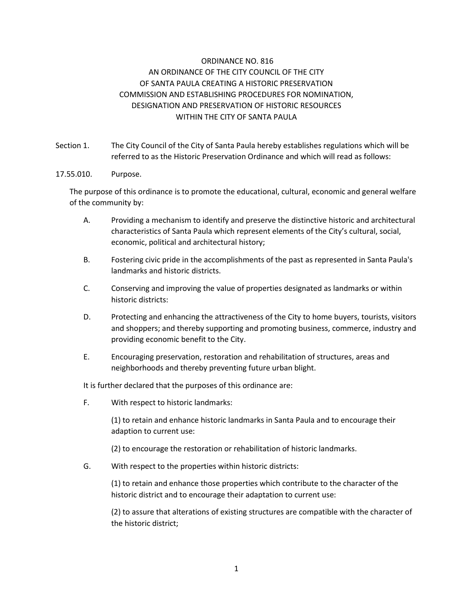# ORDINANCE NO. 816 AN ORDINANCE OF THE CITY COUNCIL OF THE CITY OF SANTA PAULA CREATING A HISTORIC PRESERVATION COMMISSION AND ESTABLISHING PROCEDURES FOR NOMINATION, DESIGNATION AND PRESERVATION OF HISTORIC RESOURCES WITHIN THE CITY OF SANTA PAULA

Section 1. The City Council of the City of Santa Paula hereby establishes regulations which will be referred to as the Historic Preservation Ordinance and which will read as follows:

#### 17.55.010. Purpose.

The purpose of this ordinance is to promote the educational, cultural, economic and general welfare of the community by:

- A. Providing a mechanism to identify and preserve the distinctive historic and architectural characteristics of Santa Paula which represent elements of the City's cultural, social, economic, political and architectural history;
- B. Fostering civic pride in the accomplishments of the past as represented in Santa Paula's landmarks and historic districts.
- C. Conserving and improving the value of properties designated as landmarks or within historic districts:
- D. Protecting and enhancing the attractiveness of the City to home buyers, tourists, visitors and shoppers; and thereby supporting and promoting business, commerce, industry and providing economic benefit to the City.
- E. Encouraging preservation, restoration and rehabilitation of structures, areas and neighborhoods and thereby preventing future urban blight.

It is further declared that the purposes of this ordinance are:

F. With respect to historic landmarks:

(1) to retain and enhance historic landmarks in Santa Paula and to encourage their adaption to current use:

(2) to encourage the restoration or rehabilitation of historic landmarks.

G. With respect to the properties within historic districts:

(1) to retain and enhance those properties which contribute to the character of the historic district and to encourage their adaptation to current use:

(2) to assure that alterations of existing structures are compatible with the character of the historic district;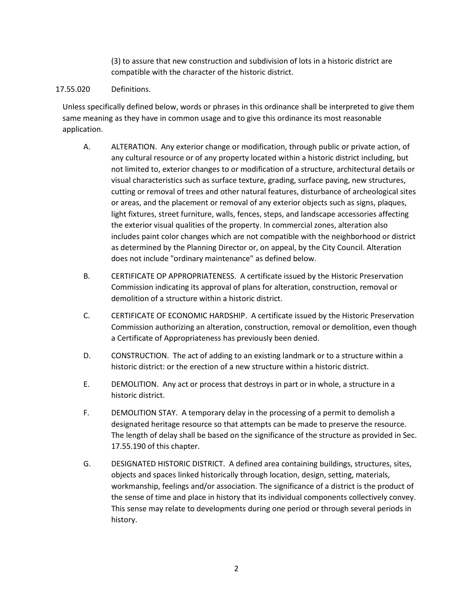(3) to assure that new construction and subdivision of lots in a historic district are compatible with the character of the historic district.

## 17.55.020 Definitions.

Unless specifically defined below, words or phrases in this ordinance shall be interpreted to give them same meaning as they have in common usage and to give this ordinance its most reasonable application.

- A. ALTERATION. Any exterior change or modification, through public or private action, of any cultural resource or of any property located within a historic district including, but not limited to, exterior changes to or modification of a structure, architectural details or visual characteristics such as surface texture, grading, surface paving, new structures, cutting or removal of trees and other natural features, disturbance of archeological sites or areas, and the placement or removal of any exterior objects such as signs, plaques, light fixtures, street furniture, walls, fences, steps, and landscape accessories affecting the exterior visual qualities of the property. In commercial zones, alteration also includes paint color changes which are not compatible with the neighborhood or district as determined by the Planning Director or, on appeal, by the City Council. Alteration does not include "ordinary maintenance" as defined below.
- B. CERTIFICATE OP APPROPRIATENESS. A certificate issued by the Historic Preservation Commission indicating its approval of plans for alteration, construction, removal or demolition of a structure within a historic district.
- C. CERTIFICATE OF ECONOMIC HARDSHIP. A certificate issued by the Historic Preservation Commission authorizing an alteration, construction, removal or demolition, even though a Certificate of Appropriateness has previously been denied.
- D. CONSTRUCTION. The act of adding to an existing landmark or to a structure within a historic district: or the erection of a new structure within a historic district.
- E. DEMOLITION. Any act or process that destroys in part or in whole, a structure in a historic district.
- F. DEMOLITION STAY. A temporary delay in the processing of a permit to demolish a designated heritage resource so that attempts can be made to preserve the resource. The length of delay shall be based on the significance of the structure as provided in Sec. 17.55.190 of this chapter.
- G. DESIGNATED HISTORIC DISTRICT. A defined area containing buildings, structures, sites, objects and spaces linked historically through location, design, setting, materials, workmanship, feelings and/or association. The significance of a district is the product of the sense of time and place in history that its individual components collectively convey. This sense may relate to developments during one period or through several periods in history.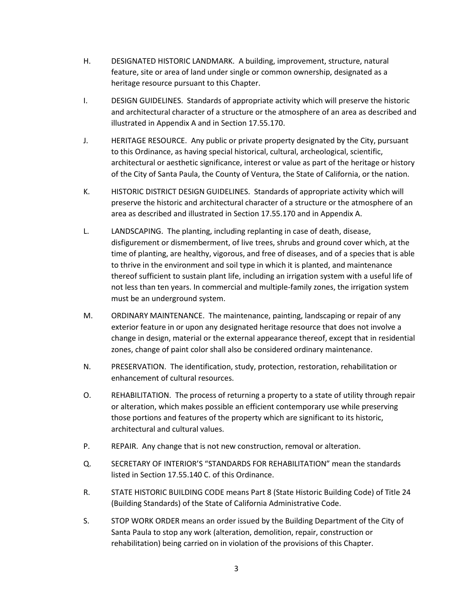- H. DESIGNATED HISTORIC LANDMARK. A building, improvement, structure, natural feature, site or area of land under single or common ownership, designated as a heritage resource pursuant to this Chapter.
- I. DESIGN GUIDELINES. Standards of appropriate activity which will preserve the historic and architectural character of a structure or the atmosphere of an area as described and illustrated in Appendix A and in Section 17.55.170.
- J. HERITAGE RESOURCE. Any public or private property designated by the City, pursuant to this Ordinance, as having special historical, cultural, archeological, scientific, architectural or aesthetic significance, interest or value as part of the heritage or history of the City of Santa Paula, the County of Ventura, the State of California, or the nation.
- K. HISTORIC DISTRICT DESIGN GUIDELINES. Standards of appropriate activity which will preserve the historic and architectural character of a structure or the atmosphere of an area as described and illustrated in Section 17.55.170 and in Appendix A.
- L. LANDSCAPING. The planting, including replanting in case of death, disease, disfigurement or dismemberment, of live trees, shrubs and ground cover which, at the time of planting, are healthy, vigorous, and free of diseases, and of a species that is able to thrive in the environment and soil type in which it is planted, and maintenance thereof sufficient to sustain plant life, including an irrigation system with a useful life of not less than ten years. In commercial and multiple-family zones, the irrigation system must be an underground system.
- M. ORDINARY MAINTENANCE. The maintenance, painting, landscaping or repair of any exterior feature in or upon any designated heritage resource that does not involve a change in design, material or the external appearance thereof, except that in residential zones, change of paint color shall also be considered ordinary maintenance.
- N. PRESERVATION. The identification, study, protection, restoration, rehabilitation or enhancement of cultural resources.
- O. REHABILITATION. The process of returning a property to a state of utility through repair or alteration, which makes possible an efficient contemporary use while preserving those portions and features of the property which are significant to its historic, architectural and cultural values.
- P. REPAIR. Any change that is not new construction, removal or alteration.
- Q. SECRETARY OF INTERIOR'S "STANDARDS FOR REHABILITATION" mean the standards listed in Section 17.55.140 C. of this Ordinance.
- R. STATE HISTORIC BUILDING CODE means Part 8 (State Historic Building Code) of Title 24 (Building Standards) of the State of California Administrative Code.
- S. STOP WORK ORDER means an order issued by the Building Department of the City of Santa Paula to stop any work (alteration, demolition, repair, construction or rehabilitation) being carried on in violation of the provisions of this Chapter.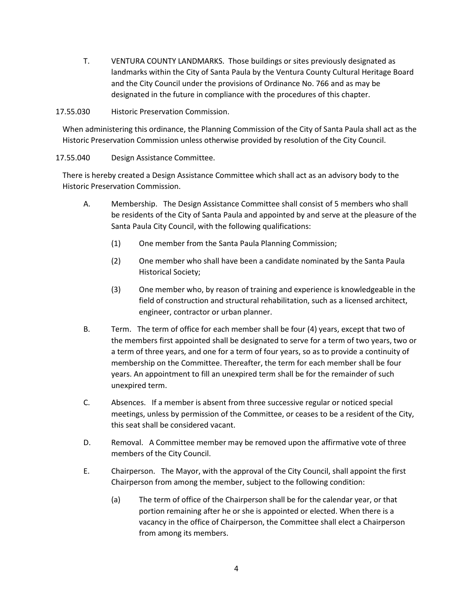T. VENTURA COUNTY LANDMARKS. Those buildings or sites previously designated as landmarks within the City of Santa Paula by the Ventura County Cultural Heritage Board and the City Council under the provisions of Ordinance No. 766 and as may be designated in the future in compliance with the procedures of this chapter.

17.55.030 Historic Preservation Commission.

When administering this ordinance, the Planning Commission of the City of Santa Paula shall act as the Historic Preservation Commission unless otherwise provided by resolution of the City Council.

## 17.55.040 Design Assistance Committee.

There is hereby created a Design Assistance Committee which shall act as an advisory body to the Historic Preservation Commission.

- A. Membership. The Design Assistance Committee shall consist of 5 members who shall be residents of the City of Santa Paula and appointed by and serve at the pleasure of the Santa Paula City Council, with the following qualifications:
	- (1) One member from the Santa Paula Planning Commission;
	- (2) One member who shall have been a candidate nominated by the Santa Paula Historical Society;
	- (3) One member who, by reason of training and experience is knowledgeable in the field of construction and structural rehabilitation, such as a licensed architect, engineer, contractor or urban planner.
- B. Term. The term of office for each member shall be four (4) years, except that two of the members first appointed shall be designated to serve for a term of two years, two or a term of three years, and one for a term of four years, so as to provide a continuity of membership on the Committee. Thereafter, the term for each member shall be four years. An appointment to fill an unexpired term shall be for the remainder of such unexpired term.
- C. Absences. If a member is absent from three successive regular or noticed special meetings, unless by permission of the Committee, or ceases to be a resident of the City, this seat shall be considered vacant.
- D. Removal. A Committee member may be removed upon the affirmative vote of three members of the City Council.
- E. Chairperson. The Mayor, with the approval of the City Council, shall appoint the first Chairperson from among the member, subject to the following condition:
	- (a) The term of office of the Chairperson shall be for the calendar year, or that portion remaining after he or she is appointed or elected. When there is a vacancy in the office of Chairperson, the Committee shall elect a Chairperson from among its members.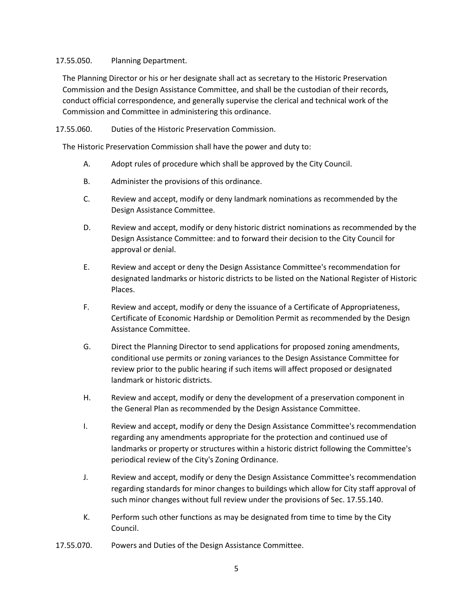#### 17.55.050. Planning Department.

The Planning Director or his or her designate shall act as secretary to the Historic Preservation Commission and the Design Assistance Committee, and shall be the custodian of their records, conduct official correspondence, and generally supervise the clerical and technical work of the Commission and Committee in administering this ordinance.

#### 17.55.060. Duties of the Historic Preservation Commission.

The Historic Preservation Commission shall have the power and duty to:

- A. Adopt rules of procedure which shall be approved by the City Council.
- B. Administer the provisions of this ordinance.
- C. Review and accept, modify or deny landmark nominations as recommended by the Design Assistance Committee.
- D. Review and accept, modify or deny historic district nominations as recommended by the Design Assistance Committee: and to forward their decision to the City Council for approval or denial.
- E. Review and accept or deny the Design Assistance Committee's recommendation for designated landmarks or historic districts to be listed on the National Register of Historic Places.
- F. Review and accept, modify or deny the issuance of a Certificate of Appropriateness, Certificate of Economic Hardship or Demolition Permit as recommended by the Design Assistance Committee.
- G. Direct the Planning Director to send applications for proposed zoning amendments, conditional use permits or zoning variances to the Design Assistance Committee for review prior to the public hearing if such items will affect proposed or designated landmark or historic districts.
- H. Review and accept, modify or deny the development of a preservation component in the General Plan as recommended by the Design Assistance Committee.
- I. Review and accept, modify or deny the Design Assistance Committee's recommendation regarding any amendments appropriate for the protection and continued use of landmarks or property or structures within a historic district following the Committee's periodical review of the City's Zoning Ordinance.
- J. Review and accept, modify or deny the Design Assistance Committee's recommendation regarding standards for minor changes to buildings which allow for City staff approval of such minor changes without full review under the provisions of Sec. 17.55.140.
- K. Perform such other functions as may be designated from time to time by the City Council.
- 17.55.070. Powers and Duties of the Design Assistance Committee.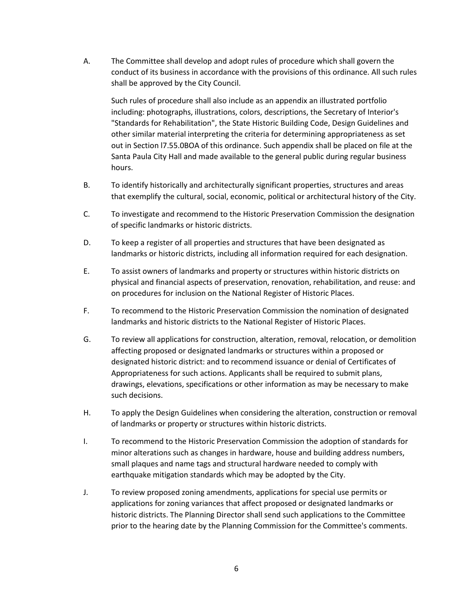A. The Committee shall develop and adopt rules of procedure which shall govern the conduct of its business in accordance with the provisions of this ordinance. All such rules shall be approved by the City Council.

Such rules of procedure shall also include as an appendix an illustrated portfolio including: photographs, illustrations, colors, descriptions, the Secretary of Interior's "Standards for Rehabilitation", the State Historic Building Code, Design Guidelines and other similar material interpreting the criteria for determining appropriateness as set out in Section l7.55.0BOA of this ordinance. Such appendix shall be placed on file at the Santa Paula City Hall and made available to the general public during regular business hours.

- B. To identify historically and architecturally significant properties, structures and areas that exemplify the cultural, social, economic, political or architectural history of the City.
- C. To investigate and recommend to the Historic Preservation Commission the designation of specific landmarks or historic districts.
- D. To keep a register of all properties and structures that have been designated as landmarks or historic districts, including all information required for each designation.
- E. To assist owners of landmarks and property or structures within historic districts on physical and financial aspects of preservation, renovation, rehabilitation, and reuse: and on procedures for inclusion on the National Register of Historic Places.
- F. To recommend to the Historic Preservation Commission the nomination of designated landmarks and historic districts to the National Register of Historic Places.
- G. To review all applications for construction, alteration, removal, relocation, or demolition affecting proposed or designated landmarks or structures within a proposed or designated historic district: and to recommend issuance or denial of Certificates of Appropriateness for such actions. Applicants shall be required to submit plans, drawings, elevations, specifications or other information as may be necessary to make such decisions.
- H. To apply the Design Guidelines when considering the alteration, construction or removal of landmarks or property or structures within historic districts.
- I. To recommend to the Historic Preservation Commission the adoption of standards for minor alterations such as changes in hardware, house and building address numbers, small plaques and name tags and structural hardware needed to comply with earthquake mitigation standards which may be adopted by the City.
- J. To review proposed zoning amendments, applications for special use permits or applications for zoning variances that affect proposed or designated landmarks or historic districts. The Planning Director shall send such applications to the Committee prior to the hearing date by the Planning Commission for the Committee's comments.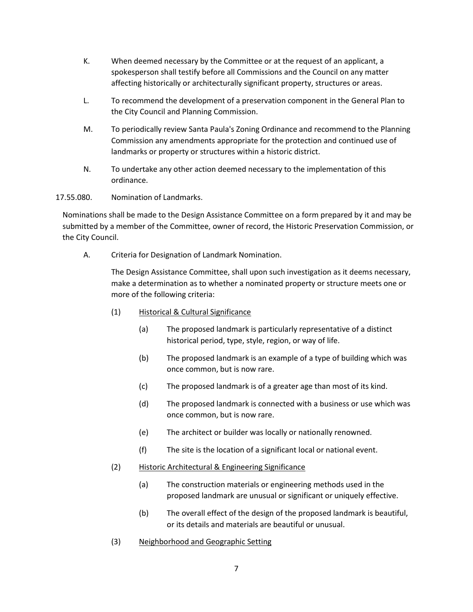- K. When deemed necessary by the Committee or at the request of an applicant, a spokesperson shall testify before all Commissions and the Council on any matter affecting historically or architecturally significant property, structures or areas.
- L. To recommend the development of a preservation component in the General Plan to the City Council and Planning Commission.
- M. To periodically review Santa Paula's Zoning Ordinance and recommend to the Planning Commission any amendments appropriate for the protection and continued use of landmarks or property or structures within a historic district.
- N. To undertake any other action deemed necessary to the implementation of this ordinance.

17.55.080. Nomination of Landmarks.

Nominations shall be made to the Design Assistance Committee on a form prepared by it and may be submitted by a member of the Committee, owner of record, the Historic Preservation Commission, or the City Council.

A. Criteria for Designation of Landmark Nomination.

The Design Assistance Committee, shall upon such investigation as it deems necessary, make a determination as to whether a nominated property or structure meets one or more of the following criteria:

- (1) Historical & Cultural Significance
	- (a) The proposed landmark is particularly representative of a distinct historical period, type, style, region, or way of life.
	- (b) The proposed landmark is an example of a type of building which was once common, but is now rare.
	- (c) The proposed landmark is of a greater age than most of its kind.
	- (d) The proposed landmark is connected with a business or use which was once common, but is now rare.
	- (e) The architect or builder was locally or nationally renowned.
	- (f) The site is the location of a significant local or national event.
- (2) Historic Architectural & Engineering Significance
	- (a) The construction materials or engineering methods used in the proposed landmark are unusual or significant or uniquely effective.
	- (b) The overall effect of the design of the proposed landmark is beautiful, or its details and materials are beautiful or unusual.
- (3) Neighborhood and Geographic Setting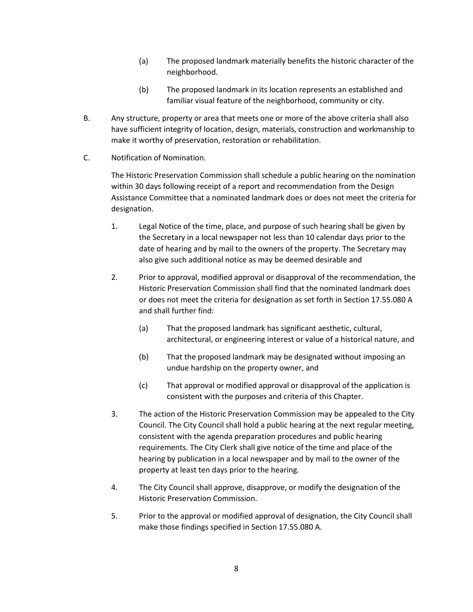- (a) The proposed landmark materially benefits the historic character of the neighborhood.
- (b) The proposed landmark in its location represents an established and familiar visual feature of the neighborhood, community or city.
- B. Any structure, property or area that meets one or more of the above criteria shall also have sufficient integrity of location, design, materials, construction and workmanship to make it worthy of preservation, restoration or rehabilitation.
- C. Notification of Nomination.

The Historic Preservation Commission shall schedule a public hearing on the nomination within 30 days following receipt of a report and recommendation from the Design Assistance Committee that a nominated landmark does or does not meet the criteria for designation.

- 1. Legal Notice of the time, place, and purpose of such hearing shall be given by the Secretary in a local newspaper not less than 10 calendar days prior to the date of hearing and by mail to the owners of the property. The Secretary may also give such additional notice as may be deemed desirable and
- 2. Prior to approval, modified approval or disapproval of the recommendation, the Historic Preservation Commission shall find that the nominated landmark does or does not meet the criteria for designation as set forth in Section 17.55.080 A and shall further find:
	- (a) That the proposed landmark has significant aesthetic, cultural, architectural, or engineering interest or value of a historical nature, and
	- (b) That the proposed landmark may be designated without imposing an undue hardship on the property owner, and
	- (c) That approval or modified approval or disapproval of the application is consistent with the purposes and criteria of this Chapter.
- 3. The action of the Historic Preservation Commission may be appealed to the City Council. The City Council shall hold a public hearing at the next regular meeting, consistent with the agenda preparation procedures and public hearing requirements. The City Clerk shall give notice of the time and place of the hearing by publication in a local newspaper and by mail to the owner of the property at least ten days prior to the hearing.
- 4. The City Council shall approve, disapprove, or modify the designation of the Historic Preservation Commission.
- 5. Prior to the approval or modified approval of designation, the City Council shall make those findings specified in Section 17.55.080 A.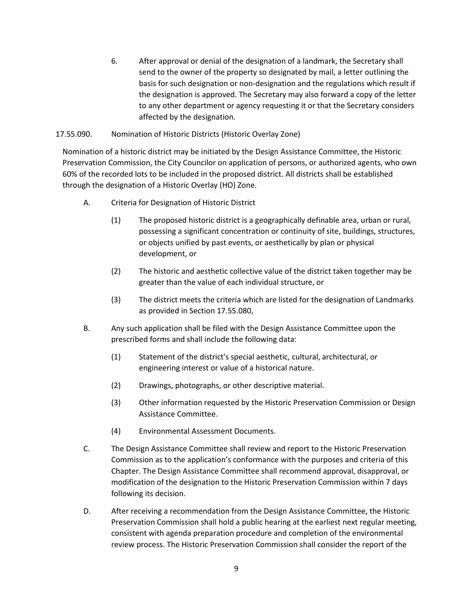6. After approval or denial of the designation of a landmark, the Secretary shall send to the owner of the property so designated by mail, a letter outlining the basis for such designation or non-designation and the regulations which result if the designation is approved. The Secretary may also forward a copy of the letter to any other department or agency requesting it or that the Secretary considers affected by the designation.

## 17.55.090. Nomination of Historic Districts (Historic Overlay Zone)

Nomination of a historic district may be initiated by the Design Assistance Committee, the Historic Preservation Commission, the City Councilor on application of persons, or authorized agents, who own 60% of the recorded lots to be included in the proposed district. All districts shall be established through the designation of a Historic Overlay (HO) Zone.

- A. Criteria for Designation of Historic District
	- (1) The proposed historic district is a geographically definable area, urban or rural, possessing a significant concentration or continuity of site, buildings, structures, or objects unified by past events, or aesthetically by plan or physical development, or
	- (2) The historic and aesthetic collective value of the district taken together may be greater than the value of each individual structure, or
	- (3) The district meets the criteria which are listed for the designation of Landmarks as provided in Section 17.55.080,
- B. Any such application shall be filed with the Design Assistance Committee upon the prescribed forms and shall include the following data:
	- (1) Statement of the district's special aesthetic, cultural, architectural, or engineering interest or value of a historical nature.
	- (2) Drawings, photographs, or other descriptive material.
	- (3) Other information requested by the Historic Preservation Commission or Design Assistance Committee.
	- (4) Environmental Assessment Documents.
- C. The Design Assistance Committee shall review and report to the Historic Preservation Commission as to the application's conformance with the purposes and criteria of this Chapter. The Design Assistance Committee shall recommend approval, disapproval, or modification of the designation to the Historic Preservation Commission within 7 days following its decision.
- D. After receiving a recommendation from the Design Assistance Committee, the Historic Preservation Commission shall hold a public hearing at the earliest next regular meeting, consistent with agenda preparation procedure and completion of the environmental review process. The Historic Preservation Commission shall consider the report of the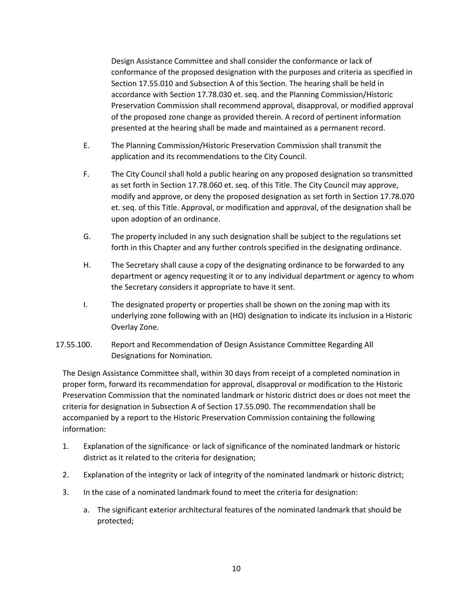Design Assistance Committee and shall consider the conformance or lack of conformance of the proposed designation with the purposes and criteria as specified in Section 17.55.010 and Subsection A of this Section. The hearing shall be held in accordance with Section 17.78.030 et. seq. and the Planning Commission/Historic Preservation Commission shall recommend approval, disapproval, or modified approval of the proposed zone change as provided therein. A record of pertinent information presented at the hearing shall be made and maintained as a permanent record.

- E. The Planning Commission/Historic Preservation Commission shall transmit the application and its recommendations to the City Council.
- F. The City Council shall hold a public hearing on any proposed designation so transmitted as set forth in Section 17.78.060 et. seq. of this Title. The City Council may approve, modify and approve, or deny the proposed designation as set forth in Section 17.78.070 et. seq. of this Title. Approval, or modification and approval, of the designation shall be upon adoption of an ordinance.
- G. The property included in any such designation shall be subject to the regulations set forth in this Chapter and any further controls specified in the designating ordinance.
- H. The Secretary shall cause a copy of the designating ordinance to be forwarded to any department or agency requesting it or to any individual department or agency to whom the Secretary considers it appropriate to have it sent.
- I. The designated property or properties shall be shown on the zoning map with its underlying zone following with an (HO) designation to indicate its inclusion in a Historic Overlay Zone.
- 17.55.100. Report and Recommendation of Design Assistance Committee Regarding All Designations for Nomination.

The Design Assistance Committee shall, within 30 days from receipt of a completed nomination in proper form, forward its recommendation for approval, disapproval or modification to the Historic Preservation Commission that the nominated landmark or historic district does or does not meet the criteria for designation in Subsection A of Section 17.55.090. The recommendation shall be accompanied by a report to the Historic Preservation Commission containing the following information:

- 1. Explanation of the significance· or lack of significance of the nominated landmark or historic district as it related to the criteria for designation;
- 2. Explanation of the integrity or lack of integrity of the nominated landmark or historic district;
- 3. In the case of a nominated landmark found to meet the criteria for designation:
	- a. The significant exterior architectural features of the nominated landmark that should be protected;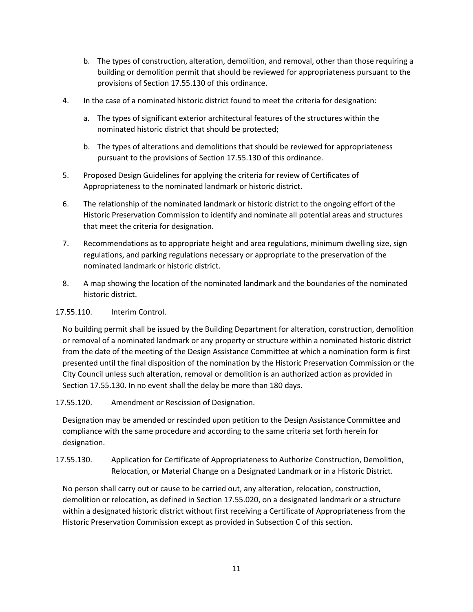- b. The types of construction, alteration, demolition, and removal, other than those requiring a building or demolition permit that should be reviewed for appropriateness pursuant to the provisions of Section 17.55.130 of this ordinance.
- 4. In the case of a nominated historic district found to meet the criteria for designation:
	- a. The types of significant exterior architectural features of the structures within the nominated historic district that should be protected;
	- b. The types of alterations and demolitions that should be reviewed for appropriateness pursuant to the provisions of Section 17.55.130 of this ordinance.
- 5. Proposed Design Guidelines for applying the criteria for review of Certificates of Appropriateness to the nominated landmark or historic district.
- 6. The relationship of the nominated landmark or historic district to the ongoing effort of the Historic Preservation Commission to identify and nominate all potential areas and structures that meet the criteria for designation.
- 7. Recommendations as to appropriate height and area regulations, minimum dwelling size, sign regulations, and parking regulations necessary or appropriate to the preservation of the nominated landmark or historic district.
- 8. A map showing the location of the nominated landmark and the boundaries of the nominated historic district.

17.55.110. Interim Control.

No building permit shall be issued by the Building Department for alteration, construction, demolition or removal of a nominated landmark or any property or structure within a nominated historic district from the date of the meeting of the Design Assistance Committee at which a nomination form is first presented until the final disposition of the nomination by the Historic Preservation Commission or the City Council unless such alteration, removal or demolition is an authorized action as provided in Section 17.55.130. In no event shall the delay be more than 180 days.

# 17.55.120. Amendment or Rescission of Designation.

Designation may be amended or rescinded upon petition to the Design Assistance Committee and compliance with the same procedure and according to the same criteria set forth herein for designation.

17.55.130. Application for Certificate of Appropriateness to Authorize Construction, Demolition, Relocation, or Material Change on a Designated Landmark or in a Historic District.

No person shall carry out or cause to be carried out, any alteration, relocation, construction, demolition or relocation, as defined in Section 17.55.020, on a designated landmark or a structure within a designated historic district without first receiving a Certificate of Appropriateness from the Historic Preservation Commission except as provided in Subsection C of this section.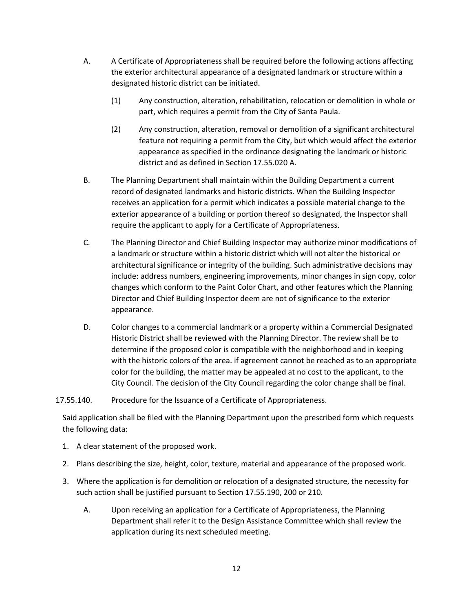- A. A Certificate of Appropriateness shall be required before the following actions affecting the exterior architectural appearance of a designated landmark or structure within a designated historic district can be initiated.
	- (1) Any construction, alteration, rehabilitation, relocation or demolition in whole or part, which requires a permit from the City of Santa Paula.
	- (2) Any construction, alteration, removal or demolition of a significant architectural feature not requiring a permit from the City, but which would affect the exterior appearance as specified in the ordinance designating the landmark or historic district and as defined in Section 17.55.020 A.
- B. The Planning Department shall maintain within the Building Department a current record of designated landmarks and historic districts. When the Building Inspector receives an application for a permit which indicates a possible material change to the exterior appearance of a building or portion thereof so designated, the Inspector shall require the applicant to apply for a Certificate of Appropriateness.
- C. The Planning Director and Chief Building Inspector may authorize minor modifications of a landmark or structure within a historic district which will not alter the historical or architectural significance or integrity of the building. Such administrative decisions may include: address numbers, engineering improvements, minor changes in sign copy, color changes which conform to the Paint Color Chart, and other features which the Planning Director and Chief Building Inspector deem are not of significance to the exterior appearance.
- D. Color changes to a commercial landmark or a property within a Commercial Designated Historic District shall be reviewed with the Planning Director. The review shall be to determine if the proposed color is compatible with the neighborhood and in keeping with the historic colors of the area. if agreement cannot be reached as to an appropriate color for the building, the matter may be appealed at no cost to the applicant, to the City Council. The decision of the City Council regarding the color change shall be final.

## 17.55.140. Procedure for the Issuance of a Certificate of Appropriateness.

Said application shall be filed with the Planning Department upon the prescribed form which requests the following data:

- 1. A clear statement of the proposed work.
- 2. Plans describing the size, height, color, texture, material and appearance of the proposed work.
- 3. Where the application is for demolition or relocation of a designated structure, the necessity for such action shall be justified pursuant to Section 17.55.190, 200 or 210.
	- A. Upon receiving an application for a Certificate of Appropriateness, the Planning Department shall refer it to the Design Assistance Committee which shall review the application during its next scheduled meeting.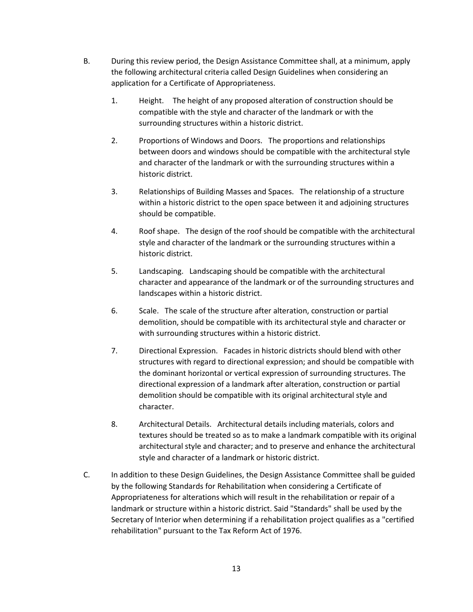- B. During this review period, the Design Assistance Committee shall, at a minimum, apply the following architectural criteria called Design Guidelines when considering an application for a Certificate of Appropriateness.
	- 1. Height. The height of any proposed alteration of construction should be compatible with the style and character of the landmark or with the surrounding structures within a historic district.
	- 2. Proportions of Windows and Doors. The proportions and relationships between doors and windows should be compatible with the architectural style and character of the landmark or with the surrounding structures within a historic district.
	- 3. Relationships of Building Masses and Spaces. The relationship of a structure within a historic district to the open space between it and adjoining structures should be compatible.
	- 4. Roof shape. The design of the roof should be compatible with the architectural style and character of the landmark or the surrounding structures within a historic district.
	- 5. Landscaping. Landscaping should be compatible with the architectural character and appearance of the landmark or of the surrounding structures and landscapes within a historic district.
	- 6. Scale. The scale of the structure after alteration, construction or partial demolition, should be compatible with its architectural style and character or with surrounding structures within a historic district.
	- 7. Directional Expression. Facades in historic districts should blend with other structures with regard to directional expression; and should be compatible with the dominant horizontal or vertical expression of surrounding structures. The directional expression of a landmark after alteration, construction or partial demolition should be compatible with its original architectural style and character.
	- 8. Architectural Details. Architectural details including materials, colors and textures should be treated so as to make a landmark compatible with its original architectural style and character; and to preserve and enhance the architectural style and character of a landmark or historic district.
- C. In addition to these Design Guidelines, the Design Assistance Committee shall be guided by the following Standards for Rehabilitation when considering a Certificate of Appropriateness for alterations which will result in the rehabilitation or repair of a landmark or structure within a historic district. Said "Standards" shall be used by the Secretary of Interior when determining if a rehabilitation project qualifies as a "certified rehabilitation" pursuant to the Tax Reform Act of 1976.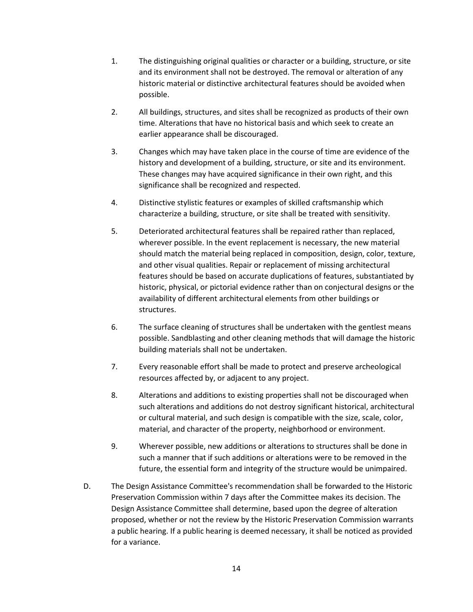- 1. The distinguishing original qualities or character or a building, structure, or site and its environment shall not be destroyed. The removal or alteration of any historic material or distinctive architectural features should be avoided when possible.
- 2. All buildings, structures, and sites shall be recognized as products of their own time. Alterations that have no historical basis and which seek to create an earlier appearance shall be discouraged.
- 3. Changes which may have taken place in the course of time are evidence of the history and development of a building, structure, or site and its environment. These changes may have acquired significance in their own right, and this significance shall be recognized and respected.
- 4. Distinctive stylistic features or examples of skilled craftsmanship which characterize a building, structure, or site shall be treated with sensitivity.
- 5. Deteriorated architectural features shall be repaired rather than replaced, wherever possible. In the event replacement is necessary, the new material should match the material being replaced in composition, design, color, texture, and other visual qualities. Repair or replacement of missing architectural features should be based on accurate duplications of features, substantiated by historic, physical, or pictorial evidence rather than on conjectural designs or the availability of different architectural elements from other buildings or structures.
- 6. The surface cleaning of structures shall be undertaken with the gentlest means possible. Sandblasting and other cleaning methods that will damage the historic building materials shall not be undertaken.
- 7. Every reasonable effort shall be made to protect and preserve archeological resources affected by, or adjacent to any project.
- 8. Alterations and additions to existing properties shall not be discouraged when such alterations and additions do not destroy significant historical, architectural or cultural material, and such design is compatible with the size, scale, color, material, and character of the property, neighborhood or environment.
- 9. Wherever possible, new additions or alterations to structures shall be done in such a manner that if such additions or alterations were to be removed in the future, the essential form and integrity of the structure would be unimpaired.
- D. The Design Assistance Committee's recommendation shall be forwarded to the Historic Preservation Commission within 7 days after the Committee makes its decision. The Design Assistance Committee shall determine, based upon the degree of alteration proposed, whether or not the review by the Historic Preservation Commission warrants a public hearing. If a public hearing is deemed necessary, it shall be noticed as provided for a variance.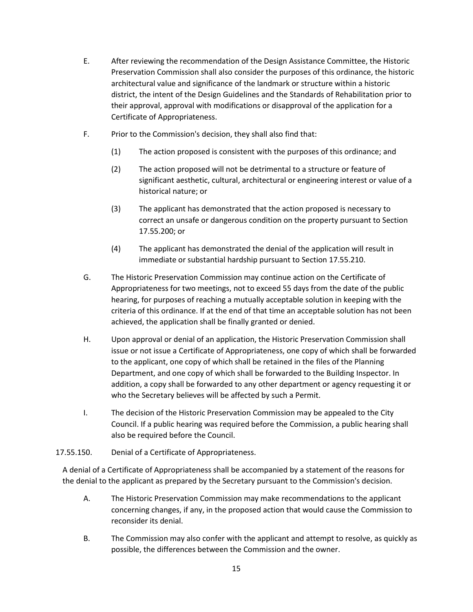- E. After reviewing the recommendation of the Design Assistance Committee, the Historic Preservation Commission shall also consider the purposes of this ordinance, the historic architectural value and significance of the landmark or structure within a historic district, the intent of the Design Guidelines and the Standards of Rehabilitation prior to their approval, approval with modifications or disapproval of the application for a Certificate of Appropriateness.
- F. Prior to the Commission's decision, they shall also find that:
	- (1) The action proposed is consistent with the purposes of this ordinance; and
	- (2) The action proposed will not be detrimental to a structure or feature of significant aesthetic, cultural, architectural or engineering interest or value of a historical nature; or
	- (3) The applicant has demonstrated that the action proposed is necessary to correct an unsafe or dangerous condition on the property pursuant to Section 17.55.200; or
	- (4) The applicant has demonstrated the denial of the application will result in immediate or substantial hardship pursuant to Section 17.55.210.
- G. The Historic Preservation Commission may continue action on the Certificate of Appropriateness for two meetings, not to exceed 55 days from the date of the public hearing, for purposes of reaching a mutually acceptable solution in keeping with the criteria of this ordinance. If at the end of that time an acceptable solution has not been achieved, the application shall be finally granted or denied.
- H. Upon approval or denial of an application, the Historic Preservation Commission shall issue or not issue a Certificate of Appropriateness, one copy of which shall be forwarded to the applicant, one copy of which shall be retained in the files of the Planning Department, and one copy of which shall be forwarded to the Building Inspector. In addition, a copy shall be forwarded to any other department or agency requesting it or who the Secretary believes will be affected by such a Permit.
- I. The decision of the Historic Preservation Commission may be appealed to the City Council. If a public hearing was required before the Commission, a public hearing shall also be required before the Council.

# 17.55.150. Denial of a Certificate of Appropriateness.

A denial of a Certificate of Appropriateness shall be accompanied by a statement of the reasons for the denial to the applicant as prepared by the Secretary pursuant to the Commission's decision.

- A. The Historic Preservation Commission may make recommendations to the applicant concerning changes, if any, in the proposed action that would cause the Commission to reconsider its denial.
- B. The Commission may also confer with the applicant and attempt to resolve, as quickly as possible, the differences between the Commission and the owner.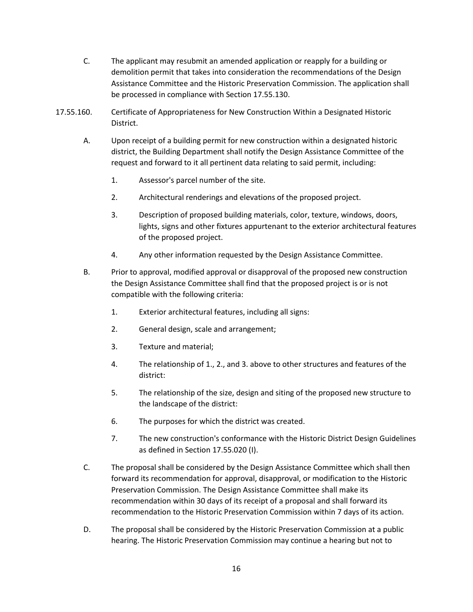- C. The applicant may resubmit an amended application or reapply for a building or demolition permit that takes into consideration the recommendations of the Design Assistance Committee and the Historic Preservation Commission. The application shall be processed in compliance with Section 17.55.130.
- 17.55.160. Certificate of Appropriateness for New Construction Within a Designated Historic District.
	- A. Upon receipt of a building permit for new construction within a designated historic district, the Building Department shall notify the Design Assistance Committee of the request and forward to it all pertinent data relating to said permit, including:
		- 1. Assessor's parcel number of the site.
		- 2. Architectural renderings and elevations of the proposed project.
		- 3. Description of proposed building materials, color, texture, windows, doors, lights, signs and other fixtures appurtenant to the exterior architectural features of the proposed project.
		- 4. Any other information requested by the Design Assistance Committee.
	- B. Prior to approval, modified approval or disapproval of the proposed new construction the Design Assistance Committee shall find that the proposed project is or is not compatible with the following criteria:
		- 1. Exterior architectural features, including all signs:
		- 2. General design, scale and arrangement;
		- 3. Texture and material;
		- 4. The relationship of 1., 2., and 3. above to other structures and features of the district:
		- 5. The relationship of the size, design and siting of the proposed new structure to the landscape of the district:
		- 6. The purposes for which the district was created.
		- 7. The new construction's conformance with the Historic District Design Guidelines as defined in Section 17.55.020 (I).
	- C. The proposal shall be considered by the Design Assistance Committee which shall then forward its recommendation for approval, disapproval, or modification to the Historic Preservation Commission. The Design Assistance Committee shall make its recommendation within 30 days of its receipt of a proposal and shall forward its recommendation to the Historic Preservation Commission within 7 days of its action.
	- D. The proposal shall be considered by the Historic Preservation Commission at a public hearing. The Historic Preservation Commission may continue a hearing but not to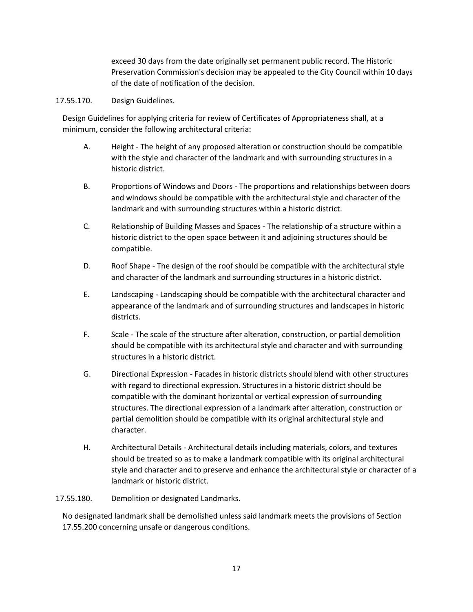exceed 30 days from the date originally set permanent public record. The Historic Preservation Commission's decision may be appealed to the City Council within 10 days of the date of notification of the decision.

#### 17.55.170. Design Guidelines.

Design Guidelines for applying criteria for review of Certificates of Appropriateness shall, at a minimum, consider the following architectural criteria:

- A. Height The height of any proposed alteration or construction should be compatible with the style and character of the landmark and with surrounding structures in a historic district.
- B. Proportions of Windows and Doors The proportions and relationships between doors and windows should be compatible with the architectural style and character of the landmark and with surrounding structures within a historic district.
- C. Relationship of Building Masses and Spaces The relationship of a structure within a historic district to the open space between it and adjoining structures should be compatible.
- D. Roof Shape The design of the roof should be compatible with the architectural style and character of the landmark and surrounding structures in a historic district.
- E. Landscaping Landscaping should be compatible with the architectural character and appearance of the landmark and of surrounding structures and landscapes in historic districts.
- F. Scale The scale of the structure after alteration, construction, or partial demolition should be compatible with its architectural style and character and with surrounding structures in a historic district.
- G. Directional Expression Facades in historic districts should blend with other structures with regard to directional expression. Structures in a historic district should be compatible with the dominant horizontal or vertical expression of surrounding structures. The directional expression of a landmark after alteration, construction or partial demolition should be compatible with its original architectural style and character.
- H. Architectural Details Architectural details including materials, colors, and textures should be treated so as to make a landmark compatible with its original architectural style and character and to preserve and enhance the architectural style or character of a landmark or historic district.

17.55.180. Demolition or designated Landmarks.

No designated landmark shall be demolished unless said landmark meets the provisions of Section 17.55.200 concerning unsafe or dangerous conditions.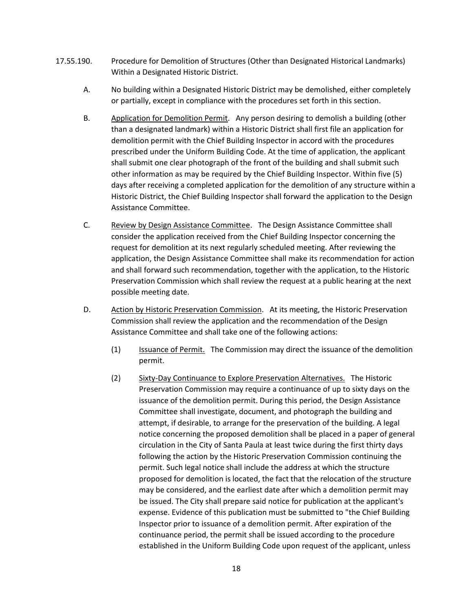- 17.55.190. Procedure for Demolition of Structures (Other than Designated Historical Landmarks) Within a Designated Historic District.
	- A. No building within a Designated Historic District may be demolished, either completely or partially, except in compliance with the procedures set forth in this section.
	- B. Application for Demolition Permit. Any person desiring to demolish a building (other than a designated landmark) within a Historic District shall first file an application for demolition permit with the Chief Building Inspector in accord with the procedures prescribed under the Uniform Building Code. At the time of application, the applicant shall submit one clear photograph of the front of the building and shall submit such other information as may be required by the Chief Building Inspector. Within five (5) days after receiving a completed application for the demolition of any structure within a Historic District, the Chief Building Inspector shall forward the application to the Design Assistance Committee.
	- C. Review by Design Assistance Committee. The Design Assistance Committee shall consider the application received from the Chief Building Inspector concerning the request for demolition at its next regularly scheduled meeting. After reviewing the application, the Design Assistance Committee shall make its recommendation for action and shall forward such recommendation, together with the application, to the Historic Preservation Commission which shall review the request at a public hearing at the next possible meeting date.
	- D. Action by Historic Preservation Commission. At its meeting, the Historic Preservation Commission shall review the application and the recommendation of the Design Assistance Committee and shall take one of the following actions:
		- (1) Issuance of Permit. The Commission may direct the issuance of the demolition permit.
		- (2) Sixty-Day Continuance to Explore Preservation Alternatives. The Historic Preservation Commission may require a continuance of up to sixty days on the issuance of the demolition permit. During this period, the Design Assistance Committee shall investigate, document, and photograph the building and attempt, if desirable, to arrange for the preservation of the building. A legal notice concerning the proposed demolition shall be placed in a paper of general circulation in the City of Santa Paula at least twice during the first thirty days following the action by the Historic Preservation Commission continuing the permit. Such legal notice shall include the address at which the structure proposed for demolition is located, the fact that the relocation of the structure may be considered, and the earliest date after which a demolition permit may be issued. The City shall prepare said notice for publication at the applicant's expense. Evidence of this publication must be submitted to "the Chief Building Inspector prior to issuance of a demolition permit. After expiration of the continuance period, the permit shall be issued according to the procedure established in the Uniform Building Code upon request of the applicant, unless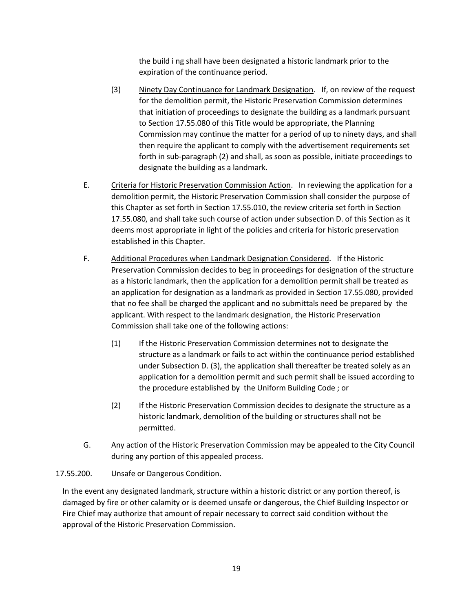the build i ng shall have been designated a historic landmark prior to the expiration of the continuance period.

- (3) Ninety Day Continuance for Landmark Designation. If, on review of the request for the demolition permit, the Historic Preservation Commission determines that initiation of proceedings to designate the building as a landmark pursuant to Section 17.55.080 of this Title would be appropriate, the Planning Commission may continue the matter for a period of up to ninety days, and shall then require the applicant to comply with the advertisement requirements set forth in sub-paragraph (2) and shall, as soon as possible, initiate proceedings to designate the building as a landmark.
- E. Criteria for Historic Preservation Commission Action. In reviewing the application for a demolition permit, the Historic Preservation Commission shall consider the purpose of this Chapter as set forth in Section 17.55.010, the review criteria set forth in Section 17.55.080, and shall take such course of action under subsection D. of this Section as it deems most appropriate in light of the policies and criteria for historic preservation established in this Chapter.
- F. Additional Procedures when Landmark Designation Considered. If the Historic Preservation Commission decides to beg in proceedings for designation of the structure as a historic landmark, then the application for a demolition permit shall be treated as an application for designation as a landmark as provided in Section 17.55.080, provided that no fee shall be charged the applicant and no submittals need be prepared by the applicant. With respect to the landmark designation, the Historic Preservation Commission shall take one of the following actions:
	- (1) If the Historic Preservation Commission determines not to designate the structure as a landmark or fails to act within the continuance period established under Subsection D. (3), the application shall thereafter be treated solely as an application for a demolition permit and such permit shall be issued according to the procedure established by the Uniform Building Code ; or
	- (2) If the Historic Preservation Commission decides to designate the structure as a historic landmark, demolition of the building or structures shall not be permitted.
- G. Any action of the Historic Preservation Commission may be appealed to the City Council during any portion of this appealed process.

## 17.55.200. Unsafe or Dangerous Condition.

In the event any designated landmark, structure within a historic district or any portion thereof, is damaged by fire or other calamity or is deemed unsafe or dangerous, the Chief Building Inspector or Fire Chief may authorize that amount of repair necessary to correct said condition without the approval of the Historic Preservation Commission.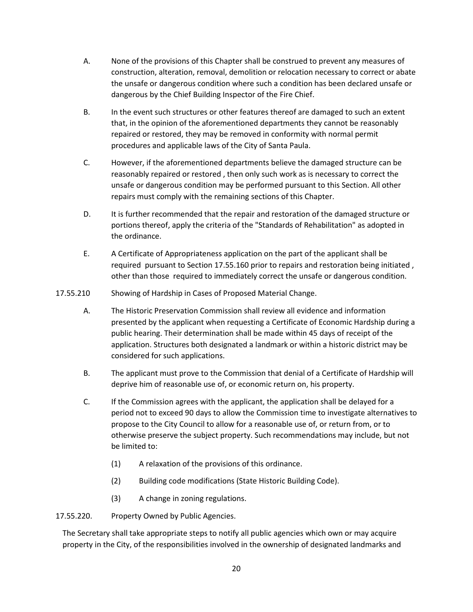- A. None of the provisions of this Chapter shall be construed to prevent any measures of construction, alteration, removal, demolition or relocation necessary to correct or abate the unsafe or dangerous condition where such a condition has been declared unsafe or dangerous by the Chief Building Inspector of the Fire Chief.
- B. In the event such structures or other features thereof are damaged to such an extent that, in the opinion of the aforementioned departments they cannot be reasonably repaired or restored, they may be removed in conformity with normal permit procedures and applicable laws of the City of Santa Paula.
- C. However, if the aforementioned departments believe the damaged structure can be reasonably repaired or restored , then only such work as is necessary to correct the unsafe or dangerous condition may be performed pursuant to this Section. All other repairs must comply with the remaining sections of this Chapter.
- D. It is further recommended that the repair and restoration of the damaged structure or portions thereof, apply the criteria of the "Standards of Rehabilitation" as adopted in the ordinance.
- E. A Certificate of Appropriateness application on the part of the applicant shall be required pursuant to Section 17.55.160 prior to repairs and restoration being initiated , other than those required to immediately correct the unsafe or dangerous condition.
- 17.55.210 Showing of Hardship in Cases of Proposed Material Change.
	- A. The Historic Preservation Commission shall review all evidence and information presented by the applicant when requesting a Certificate of Economic Hardship during a public hearing. Their determination shall be made within 45 days of receipt of the application. Structures both designated a landmark or within a historic district may be considered for such applications.
	- B. The applicant must prove to the Commission that denial of a Certificate of Hardship will deprive him of reasonable use of, or economic return on, his property.
	- C. If the Commission agrees with the applicant, the application shall be delayed for a period not to exceed 90 days to allow the Commission time to investigate alternatives to propose to the City Council to allow for a reasonable use of, or return from, or to otherwise preserve the subject property. Such recommendations may include, but not be limited to:
		- (1) A relaxation of the provisions of this ordinance.
		- (2) Building code modifications (State Historic Building Code).
		- (3) A change in zoning regulations.

# 17.55.220. Property Owned by Public Agencies.

The Secretary shall take appropriate steps to notify all public agencies which own or may acquire property in the City, of the responsibilities involved in the ownership of designated landmarks and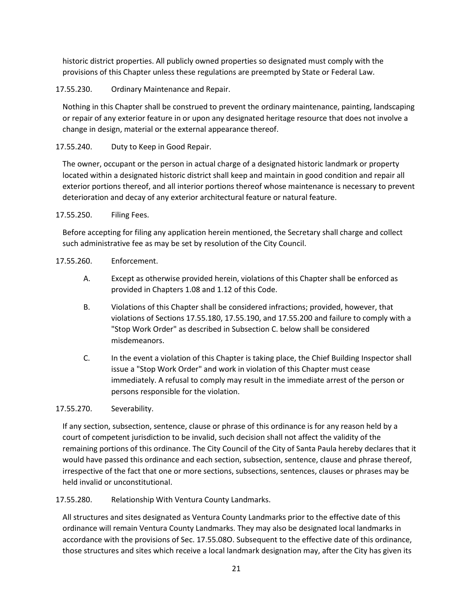historic district properties. All publicly owned properties so designated must comply with the provisions of this Chapter unless these regulations are preempted by State or Federal Law.

17.55.230. Ordinary Maintenance and Repair.

Nothing in this Chapter shall be construed to prevent the ordinary maintenance, painting, landscaping or repair of any exterior feature in or upon any designated heritage resource that does not involve a change in design, material or the external appearance thereof.

# 17.55.240. Duty to Keep in Good Repair.

The owner, occupant or the person in actual charge of a designated historic landmark or property located within a designated historic district shall keep and maintain in good condition and repair all exterior portions thereof, and all interior portions thereof whose maintenance is necessary to prevent deterioration and decay of any exterior architectural feature or natural feature.

## 17.55.250. Filing Fees.

Before accepting for filing any application herein mentioned, the Secretary shall charge and collect such administrative fee as may be set by resolution of the City Council.

## 17.55.260. Enforcement.

- A. Except as otherwise provided herein, violations of this Chapter shall be enforced as provided in Chapters 1.08 and 1.12 of this Code.
- B. Violations of this Chapter shall be considered infractions; provided, however, that violations of Sections 17.55.180, 17.55.190, and 17.55.200 and failure to comply with a "Stop Work Order" as described in Subsection C. below shall be considered misdemeanors.
- C. In the event a violation of this Chapter is taking place, the Chief Building Inspector shall issue a "Stop Work Order" and work in violation of this Chapter must cease immediately. A refusal to comply may result in the immediate arrest of the person or persons responsible for the violation.

## 17.55.270. Severability.

If any section, subsection, sentence, clause or phrase of this ordinance is for any reason held by a court of competent jurisdiction to be invalid, such decision shall not affect the validity of the remaining portions of this ordinance. The City Council of the City of Santa Paula hereby declares that it would have passed this ordinance and each section, subsection, sentence, clause and phrase thereof, irrespective of the fact that one or more sections, subsections, sentences, clauses or phrases may be held invalid or unconstitutional.

## 17.55.280. Relationship With Ventura County Landmarks.

All structures and sites designated as Ventura County Landmarks prior to the effective date of this ordinance will remain Ventura County Landmarks. They may also be designated local landmarks in accordance with the provisions of Sec. 17.55.08O. Subsequent to the effective date of this ordinance, those structures and sites which receive a local landmark designation may, after the City has given its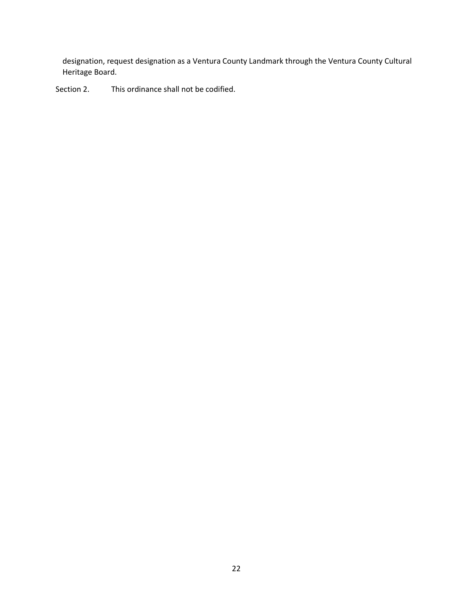designation, request designation as a Ventura County Landmark through the Ventura County Cultural Heritage Board.

Section 2. This ordinance shall not be codified.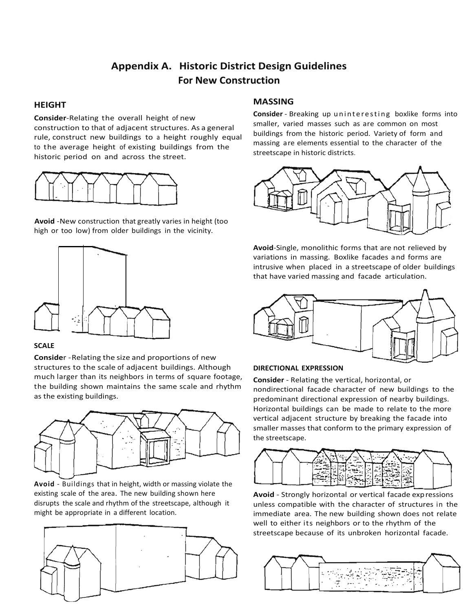# **Appendix A. Historic District Design Guidelines For New Construction**

# **HEIGHT**

**Consider**-Relating the overall height of new construction to that of adjacent structures. As a general rule, construct new buildings to a height roughly equal to the average height of existing buildings from the historic period on and across the street.



**Avoid** -New construction that greatly varies in height (too high or too low) from older buildings in the vicinity.



#### **SCALE**

**Conside**r -Relating the size and proportions of new structures to the scale of adjacent buildings. Although much larger than its neighbors in terms of square footage, the building shown maintains the same scale and rhythm as the existing buildings.



**Avoid** - Buildings that in height, width or massing violate the existing scale of the area. The new building shown here disrupts the scale and rhythm of the streetscape, although it might be appropriate in a different location.



# **MASSING**

**Consider** - Breaking up uninteresting boxlike forms into smaller, varied masses such as are common on most buildings from the historic period. Variety of form and massing are elements essential to the character of the streetscape in historic districts.



**Avoid**-Single, monolithic forms that are not relieved by variations in massing. Boxlike facades and forms are intrusive when placed in a streetscape of older buildings that have varied massing and facade articulation.



#### **DIRECTIONAL EXPRESSION**

**Consider** - Relating the vertical, horizontal, or nondirectional facade character of new buildings to the predominant directional expression of nearby buildings. Horizontal buildings can be made to relate to the more vertical adjacent structure by breaking the facade into smaller masses that conform to the primary expression of the streetscape.



**Avoid** - Strongly horizontal or vertical facade expressions unless compatible with the character of structures in the immediate area. The new building shown does not relate well to either its neighbors or to the rhythm of the streetscape because of its unbroken horizontal facade.

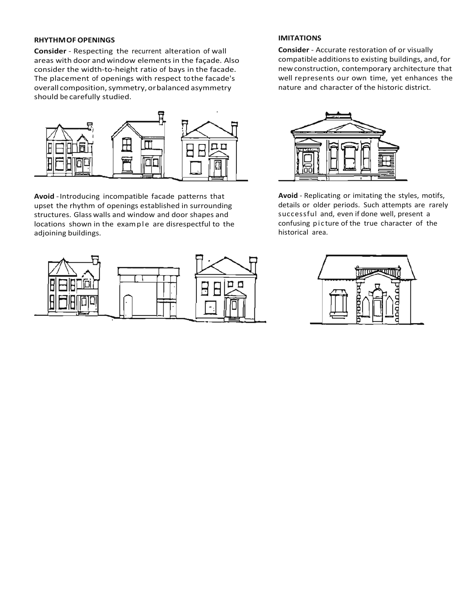#### **RHYTHMOF OPENINGS**

**Consider** - Respecting the recurrent alteration of wall areas with door andwindow elementsin the façade. Also consider the width-to-height ratio of bays in the facade. The placement of openings with respect tothe facade's overall composition, symmetry, or balanced asymmetry should be carefully studied.



**Avoid** -Introducing incompatible facade patterns that upset the rhythm of openings established in surrounding structures. Glass walls and window and door shapes and locations shown in the example are disrespectful to the adjoining buildings.



#### **IMITATIONS**

**Consider** - Accurate restoration of or visually compatible additionsto existing buildings, and, for newconstruction, contemporary architecture that well represents our own time, yet enhances the nature and character of the historic district.



**Avoid** - Replicating or imitating the styles, motifs, details or older periods. Such attempts are rarely successful and, even if done well, present a confusing pic ture of the true character of the historical area.

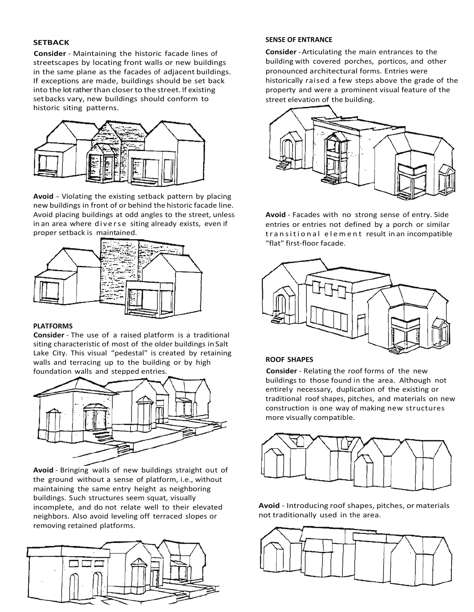#### **SETBACK**

**Consider** - Maintaining the historic facade lines of streetscapes by locating front walls or new buildings in the same plane as the facades of adjacent buildings. If exceptions are made, buildings should be set back into the lot rather than closerto the street. If existing setbacks vary, new buildings should conform to historic siting patterns.



**Avoid** - Violating the existing setback pattern by placing new buildings in front of or behind the historic facade line. Avoid placing buildings at odd angles to the street, unless in an area where diverse siting already exists, even if proper setback is maintained.



#### **PLATFORMS**

**Consider** - The use of a raised platform is a traditional siting characteristic of most of the older buildings inSalt Lake City. This visual "pedestal" is created by retaining walls and terracing up to the building or by high foundation walls and stepped entries.



**Avoid** - Bringing walls of new buildings straight out of the ground without a sense of platform, i.e., without maintaining the same entry height as neighboring buildings. Such structures seem squat, visually incomplete, and do not relate well to their elevated neighbors. Also avoid leveling off terraced slopes or removing retained platforms.



#### **SENSE OF ENTRANCE**

**Consider** -Articulating the main entrances to the building with covered porches, porticos, and other pronounced architectural forms. Entries were historically raised a few steps above the grade of the property and were a prominent visual feature of the street elevation of the building.



**Avoid** - Facades with no strong sense of entry. Side entries or entries not defined by a porch or similar transitional element result in an incompatible "flat" first-floor facade.



#### **ROOF SHAPES**

**Consider** - Relating the roof forms of the new buildings to those found in the area. Although not entirely necessary, duplication of the existing or traditional roof shapes, pitches, and materials on new construction is one way of making new structures more visually compatible.



**Avoid** - Introducing roof shapes, pitches, or materials not traditionally used in the area.